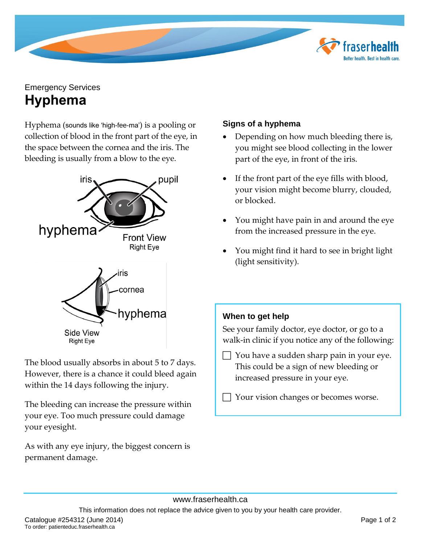

# Emergency Services **Hyphema**

Hyphema (sounds like 'high-fee-ma') is a pooling or collection of blood in the front part of the eye, in the space between the cornea and the iris. The bleeding is usually from a blow to the eye.



The blood usually absorbs in about 5 to 7 days. However, there is a chance it could bleed again within the 14 days following the injury.

The bleeding can increase the pressure within your eye. Too much pressure could damage your eyesight.

As with any eye injury, the biggest concern is permanent damage.

## **Signs of a hyphema**

- Depending on how much bleeding there is, you might see blood collecting in the lower part of the eye, in front of the iris.
- If the front part of the eye fills with blood, your vision might become blurry, clouded, or blocked.
- You might have pain in and around the eye from the increased pressure in the eye.
- You might find it hard to see in bright light (light sensitivity).

## **When to get help**

See your family doctor, eye doctor, or go to a walk-in clinic if you notice any of the following:

 You have a sudden sharp pain in your eye. This could be a sign of new bleeding or increased pressure in your eye.

Your vision changes or becomes worse.